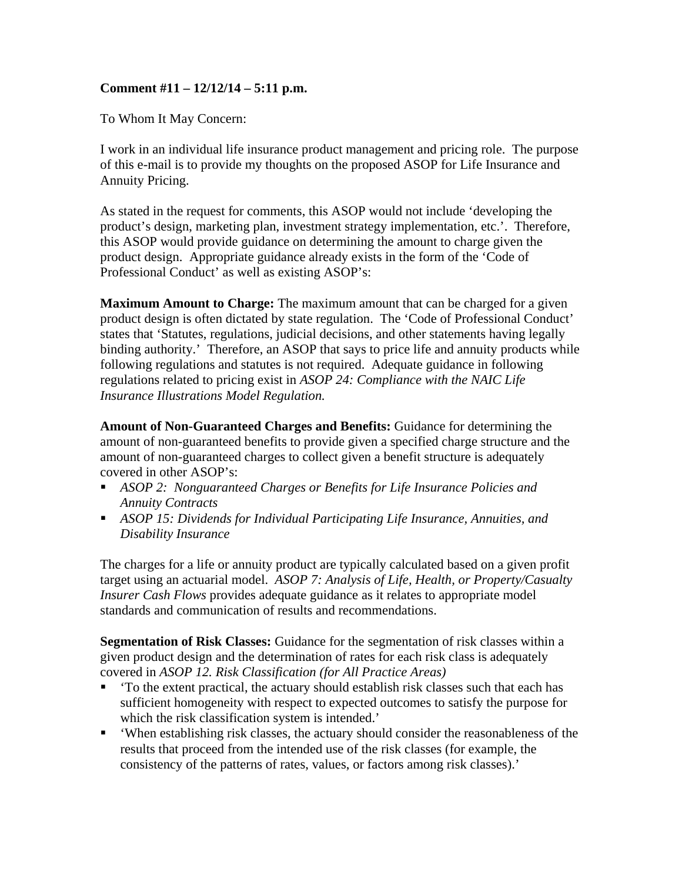## **Comment #11 – 12/12/14 – 5:11 p.m.**

To Whom It May Concern:

I work in an individual life insurance product management and pricing role. The purpose of this e-mail is to provide my thoughts on the proposed ASOP for Life Insurance and Annuity Pricing.

As stated in the request for comments, this ASOP would not include 'developing the product's design, marketing plan, investment strategy implementation, etc.'. Therefore, this ASOP would provide guidance on determining the amount to charge given the product design. Appropriate guidance already exists in the form of the 'Code of Professional Conduct' as well as existing ASOP's:

**Maximum Amount to Charge:** The maximum amount that can be charged for a given product design is often dictated by state regulation. The 'Code of Professional Conduct' states that 'Statutes, regulations, judicial decisions, and other statements having legally binding authority.' Therefore, an ASOP that says to price life and annuity products while following regulations and statutes is not required. Adequate guidance in following regulations related to pricing exist in *ASOP 24: Compliance with the NAIC Life Insurance Illustrations Model Regulation.*

**Amount of Non-Guaranteed Charges and Benefits:** Guidance for determining the amount of non-guaranteed benefits to provide given a specified charge structure and the amount of non-guaranteed charges to collect given a benefit structure is adequately covered in other ASOP's:

- *ASOP 2: Nonguaranteed Charges or Benefits for Life Insurance Policies and Annuity Contracts*
- *ASOP 15: Dividends for Individual Participating Life Insurance, Annuities, and Disability Insurance*

The charges for a life or annuity product are typically calculated based on a given profit target using an actuarial model. *ASOP 7: Analysis of Life, Health, or Property/Casualty Insurer Cash Flows* provides adequate guidance as it relates to appropriate model standards and communication of results and recommendations.

**Segmentation of Risk Classes:** Guidance for the segmentation of risk classes within a given product design and the determination of rates for each risk class is adequately covered in *ASOP 12. Risk Classification (for All Practice Areas)*

- To the extent practical, the actuary should establish risk classes such that each has sufficient homogeneity with respect to expected outcomes to satisfy the purpose for which the risk classification system is intended.'
- 'When establishing risk classes, the actuary should consider the reasonableness of the results that proceed from the intended use of the risk classes (for example, the consistency of the patterns of rates, values, or factors among risk classes).'